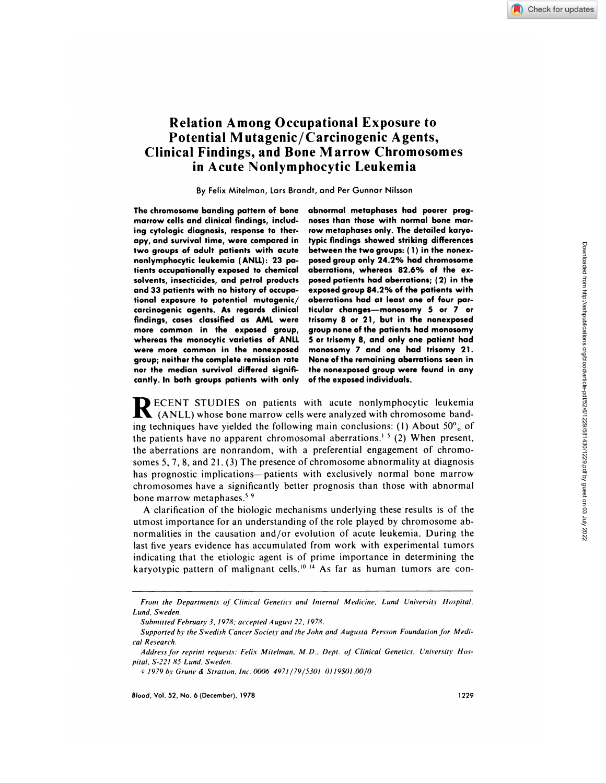Downloaded from http://ashpublications.org/blood/article-pdf/52/6/1229/581430/1229.pdf by guest on 03 July 2022

Downloaded from http://ashpublications.org/blood/article-pdf/52/6/1229/581430/1229.pdf by guest on 03 July 2022

# **Relation Among Occupational Exposure to Potential M utagenic/ Carcinogenic Agents, Clinical Findings, and Bone Marrow Chromosomes** in Acute Nonlymphocytic Leukemia

By Felix Mitelman, Lars Brandt, and Per Gunnar Nilsson

**The chromosome banding pattern of bone marrow cells and clinical findings, including cytologic diagnosis, response to therapy, and survival time, were compared in two groups of adult patients with acute nonlymphocytic leukemia (ANLL): 23 patients occupationally exposed to chemical solvents, insecticides, and petrol products and 33 patients with no history of occupational exposure to potential mutagenic/ carcinogenic agents. As regards clinical findings, cases classified as AML were more common in the exposed group, whereas the monocytic varieties of ANLL were more common in the nonexposed group; neither the complete remission rate nor the median survival differed significantly. In both groups patients with only** **abnormal metaphases had poorer prog noses than those with normal bone mar row metaphases only. The detailed karyotypic findings showed striking differences between the two groups: (**1 **) in the nonex posed group only 24.2% had chromosome aberrations, whereas 82.6% of the cx posed patients had aberrations; (2) in the exposed group 84.2% of the patients with aberrations had at least one of four particular changes-monosomy 5 or 7 or trisomy 8 or 21, but in the nonexposed group none ofthe patients had monosomy** 5 **or trisomy 8, and only one patient had monosomy 7 and one had trisomy 2 1. None of the remaining aberrations seen in the nonexposed group were found in any of the exposed individuals.**

**R** ECENT STUDIES on patients with acute nonlymphocytic leukemia (ANLL) whose bone marrow cells were analyzed with chromosome ban ing techniques have yielded the following main conclusions: (1) About 50% of the patients have no apparent chromosomal aberrations.<sup>15</sup> (2) When present, the aberrations are nonrandom, with a preferential engagement of chromo somes 5, 7, 8, and 21. (3) The presence of chromosome abnormality at diagnosis has prognostic implications-patients with exclusively normal bone marrow chromosomes have a significantly better prognosis than those with abnormal bone marrow metaphases.<sup>59</sup>

A clarification of the biologic mechanisms underlying these results is of the utmost importance for an understanding of the role played by chromosome abnormalities in the causation and/or evolution of acute leukemia. During the last five years evidence has accumulated from work with experimental tumors indicating that the etiologic agent is of prime importance in determining the karyotypic pattern of malignant cells.<sup>10 14</sup> As far as human tumors are con-

*From the Departments of Clinical Genetics and Internal Medicine. Lund Universitt Hospital. Lund, Sweden.*

*Submitted Fehruart 3. 1978; accepted August 22, 1978.*

*Supported by the Swedish Cancer Societs and the John and A ugusta Per.sson Foundation for Medi cal Research.*

*A ddress for reprint requests: Felix Mitelman, M. D.* ,*Dept. of Clinical Genetics, L7niversitv Hos pital. S-221 85 Lund, Sweden.*

*<sup>1979</sup>b,' Grune & Stratton, Inc. 00064971/79/5301 01l9\$01.0O/O*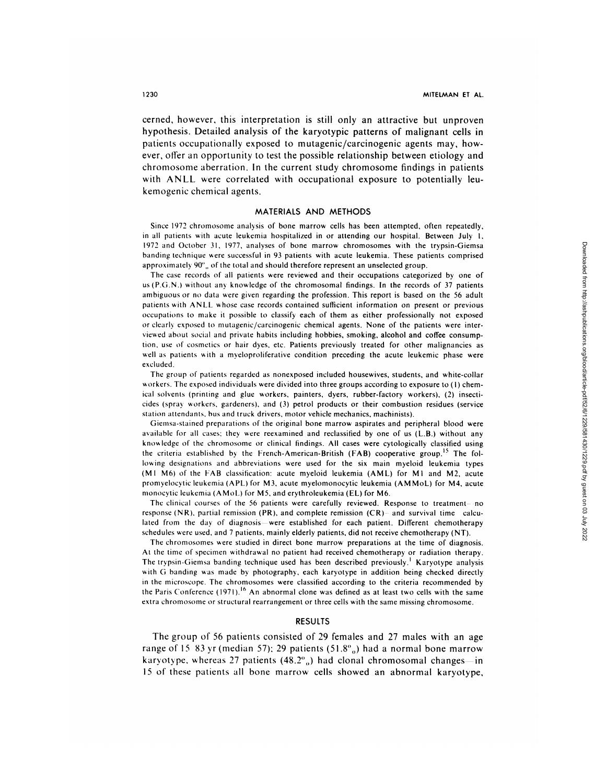cerned, however, this interpretation is still only an attractive but unproven **hypothesis. Detailed analysis** of the karyotypic patterns of malignant cells in patients occupationally exposed to mutagenic/carcinogenic agents may, however, offer an opportunity to test the possible relationship between etiology and chromosome aberration. In the current study chromosome findings in patients **with** ANLL were correlated with occupational exposure to potentially leukemogenic chemical agents.

## MATERIALS AND METHODS

Since 1972 chromosome analysis of bone marrow cells has been attempted, often repeatedly, in all patients with acute leukemia hospitalized in or attending our hospital. Between July 1, 1972 and October 31, 1977, analyses of bone marrow chromosomes with the trypsin-Giemsa banding technique were successful in 93 patients with acute leukemia. These patients comprised approximately 90°<sub>0</sub> of the total and should therefore represent an unselected group.

The case records of all patients were reviewed and their occupations categorized by one of us (P.G.N.) without any knowledge of the chromosomal findings. In the records of 37 patients ambiguous or no data were given regarding the profession. This report is based on the 56 adult patients with ANLL whose case records contained sufficient information on present or previous occupations to make it possible to classify each of them as either professionally not exposed or clearly exposed to mutagenic/carcinogenic chemical agents. None of the patients were inter viewed about social and private habits including hobbies, smoking, alcohol and coffee consumption, use of cosmetics or hair dyes, etc. Patients previously treated for other malignancies as well as patients with a myeloproliferative condition preceding the acute leukemic phase were excluded.

The group of patients regarded as nonexposed included housewives, students, and white-collar workers. The exposed individuals were divided into three groups according to exposure to (1) chemical solvents (printing and glue workers, painters, dyers, rubber-factory workers), (2) insecti cides (spray workers, gardeners), and (3) petrol products or their combustion residues (service station attendants, bus and truck drivers, motor vehicle mechanics, machinists).

Giemsa-stained preparations of the original bone marrow aspirates and peripheral blood were available for all cases: they were reexamined and reclassified by one of us (LB.) without any knowledge of the chromosome or clinical findings. All cases were cytologically classified using the criteria established by the French-American-British (FAB) cooperative group.<sup>15</sup> The following designations and abbreviations were used for the six main myeloid leukemia types (Ml M6) of the FAB classification: acute myeloid leukemia (AML) for Ml and M2, acute promyelocytic leukemia (APL) for M3, acute myelomonocytic leukemia (AMMoL) for M4, acute monocytic leukemia (AMoL) for MS. and erythroleukemia (EL) for M6.

The clinical courses of the 56 patients were carefully reviewed. Response to treatment-- no response (NR), partial remission (PR), and complete remission  $(CR)$ -- and survival time calculated from the day of diagnosis—were established for each patient. Different chemotherapy schedules were used, and 7 patients, mainly elderly patients, did not receive chemotherapy (NT).

The chromosomes were studied in direct bone marrow preparations at the time of diagnosis. At the time of specimen withdrawal no patient had received chemotherapy or radiation therapy. The trypsin-Giemsa banding technique used has been described previously.' Karyotype analysis with G banding was made by photography, each karyotype in addition being checked directly in the microscope. The chromosomes were classified according to the criteria recommended by the Paris Conference  $(1971)$ <sup>16</sup> An abnormal clone was defined as at least two cells with the same extra chromosome or structural rearrangement or three cells with the same missing chromosome.

## RESULTS

The group of *56* patients consisted of 29 females and 27 males with an age range of 15 83 yr (median 57); 29 patients (51.8<sup>o</sup><sub>0</sub>) had a normal bone marrow karyotype, whereas 27 patients  $(48.2^{\circ})$  had clonal chromosomal changes-in 15 of **these** patients all bone marrow cells showed an abnormal karyotype,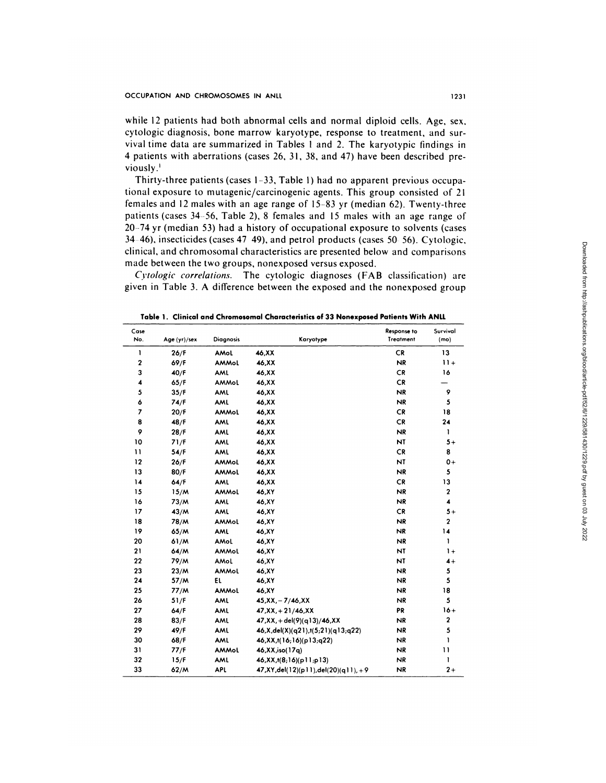while 12 patients had both abnormal cells and normal diploid cells. Age, sex, cytologic diagnosis, bone marrow karyotype, response to treatment, and sur vival time data are summarized in Tables I and 2. The karyotypic findings in patients with aberrations (cases 26, 31, 38, and 47) have been described previously

Thirty-three patients (cases 1-33, Table 1) had no apparent previous occupational exposure to mutagenic/carcinogenic agents. This group consisted of 21 females and 12 males with an age range of *15-83* yr (median 62). Twenty-three patients (cases *34--56,* Table 2), 8 females and 15 males with an age range of 20-74 yr (median *53)* had a history of occupational exposure to solvents (cases 3446), insecticides (cases 47 49), and petrol products (cases *50- 56).* **Cytologic,** clinical, and chromosomal characteristics are presented below and comparisons made between the two groups, nonexposed versus exposed.

*Cytologic correlations*. The cytologic diagnoses (FAB classification) are given in Table 3. A difference between the exposed and the nonexposed group

| Case<br>No.              | Age (yr)/sex | <b>Diagnosis</b> | Karyotype                                | Response to<br>Treatment | Survival<br>(mo)        |
|--------------------------|--------------|------------------|------------------------------------------|--------------------------|-------------------------|
| ı                        | 26/F         | AMol             | 46, XX                                   | <b>CR</b>                | 13                      |
| $\mathbf 2$              | 69/F         | AMMoL            | 46, XX                                   | <b>NR</b>                | $11+$                   |
| 3                        | 40/F         | AML              | 46, XX                                   | <b>CR</b>                | 16                      |
| 4                        | 65/F         | AMMoL            | 46, XX                                   | <b>CR</b>                |                         |
| 5                        | 35/F         | AML              | 46, XX                                   | <b>NR</b>                | 9                       |
| 6                        | 74/F         | AML              | 46, XX                                   | <b>NR</b>                | 5                       |
| $\overline{\phantom{a}}$ | 20/F         | AMMoL            | 46, XX                                   | <b>CR</b>                | 18                      |
| 8                        | 48/F         | AML              | 46, XX                                   | <b>CR</b>                | 24                      |
| 9                        | 28/F         | AML              | 46, XX                                   | <b>NR</b>                | 1                       |
| 10                       | 71/F         | AML              | 46, XX                                   | <b>NT</b>                | $5+$                    |
| $\mathbf{1}$             | 54/F         | AML              | 46, XX                                   | <b>CR</b>                | 8                       |
| 12                       | 26/F         | AMMoL            | 46, XX                                   | NT                       | $0+$                    |
| 13                       | 80/F         | AMMoL            | 46, XX                                   | <b>NR</b>                | 5                       |
| 14                       | 64/F         | AML              | 46, XX                                   | <b>CR</b>                | 13                      |
| 15                       | 15/M         | AMMoL            | 46, XY                                   | <b>NR</b>                | $\overline{\mathbf{c}}$ |
| 16                       | 73/M         | AML              | 46, XY                                   | <b>NR</b>                | $\blacktriangleleft$    |
| 17                       | 43/M         | AML              | 46,XY                                    | <b>CR</b>                | $5+$                    |
| 18                       | 78/M         | AMMoL            | 46, XY                                   | <b>NR</b>                | $\overline{\mathbf{c}}$ |
| 19                       | 65/M         | AML              | 46,XY                                    | <b>NR</b>                | 14                      |
| 20                       | 61/M         | AMoL             | 46, XY                                   | <b>NR</b>                | 1                       |
| 21                       | 64/M         | AMMoL            | 46, XY                                   | NT                       | $1+$                    |
| 22                       | 79/M         | AMol             | 46,XY                                    | NT                       | $4+$                    |
| 23                       | 23/M         | AMMoL            | 46, XY                                   | <b>NR</b>                | 5                       |
| 24                       | 57/M         | EL               | 46, XY                                   | <b>NR</b>                | 5                       |
| 25                       | 77/M         | AMMoL            | 46,XY                                    | <b>NR</b>                | 18                      |
| 26                       | 51/F         | AML              | $45,XX, -7/46,XX$                        | <b>NR</b>                | 5                       |
| 27                       | 64/F         | AML              | $47, XX, +21/46, XX$                     | PR                       | $16+$                   |
| 28                       | 83/F         | AML              | 47, XX, + del(9)(q13)/46, XX             | <b>NR</b>                | $\overline{\mathbf{c}}$ |
| 29                       | 49/F         | AML              | 46,X,del(X)(q21),t(5;21)(q13;q22)        | <b>NR</b>                | 5                       |
| 30                       | 68/F         | AML              | 46, XX, t(16, 16)(p13, q22)              | NR                       | ı                       |
| 31                       | 77/F         | AMMoL            | 46, XX, iso (17q)                        | <b>NR</b>                | $\mathbf{1}$            |
| 32                       | 15/F         | AML              | $46, XX, t(8, 16)$ (pll;pl3)             | NR                       | 1                       |
| 33                       | 62/M         | <b>APL</b>       | $47, XY, del(12)(p11), del(20)(q11), +9$ | <b>NR</b>                | $2+$                    |

**Table 1** . **Clinical and Chromosomal Characteristics of 33 Nonexposed Patients With ANLL**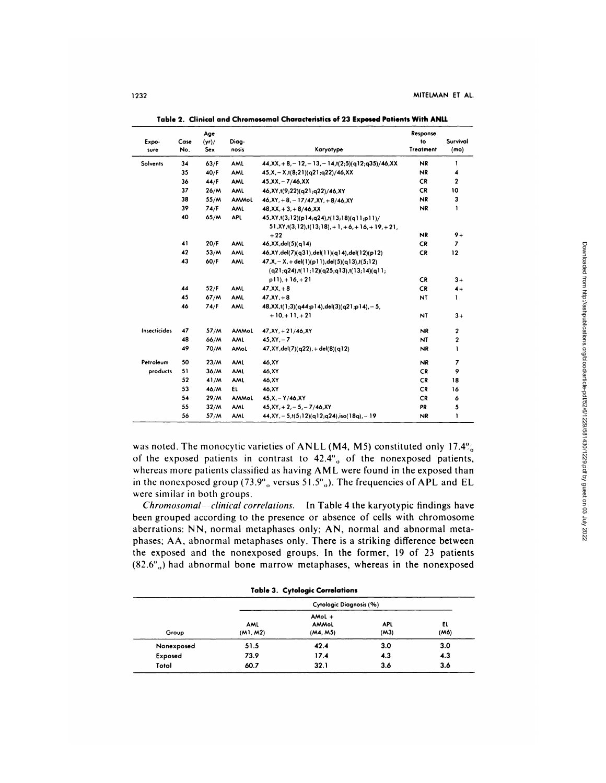|              |      | Age  |              |                                                                                                       | Response         |                         |
|--------------|------|------|--------------|-------------------------------------------------------------------------------------------------------|------------------|-------------------------|
| Expo-        | Case | (yr) | Diag-        |                                                                                                       | to               | Survival                |
| sure         | No.  | Sex  | nosis        | Karyotype                                                                                             | <b>Treatment</b> | (mo)                    |
| Solvents     | 34   | 63/F | AML          | $44, XX, +8, -12, -13, -14, t(2,5)(q12, q35)/46, XX$                                                  | <b>NR</b>        | 1                       |
|              | 35   | 40/F | AML          | $45.X - X,t(8,21)(q21,q22)/46,XX$                                                                     | <b>NR</b>        | 4                       |
|              | 36   | 44/F | <b>AML</b>   | $45, XX, -7/46, XX$                                                                                   | <b>CR</b>        | $\overline{\mathbf{2}}$ |
|              | 37   | 26/M | AML          | 46, XY, t(9; 22)( q21; q22)/46, XY                                                                    | <b>CR</b>        | 10                      |
|              | 38   | 55/M | <b>AMMoL</b> | $46, XY, +8, -17/47, XY, +8/46, XY$                                                                   | <b>NR</b>        | 3                       |
|              | 39   | 74/F | AML          | $48,XX, +3, +8/46,XX$                                                                                 | <b>NR</b>        | 1                       |
|              | 40   | 65/M | <b>APL</b>   | 45, XY, t(3;12)(p14;q24), t(13;18)(q11;p11)/<br>$51, XY, t(3, 12), t(13, 18), +1, +6, +16, +19, +21.$ |                  |                         |
|              |      |      |              | $+22$                                                                                                 | <b>NR</b>        | $9+$                    |
|              | 41   | 20/F | AML          | 46, XX, del(5)(q14)                                                                                   | <b>CR</b>        | $\overline{z}$          |
|              | 42   | 53/M | <b>AML</b>   | 46, XY, del(7)(q31), del(11)(q14), del(12)(p12)                                                       | <b>CR</b>        | 12                      |
|              | 43   | 60/F | <b>AML</b>   | $47, X, -X, +$ del(1)(p11), del(5)(q13), t(5;12)<br>$(q21, q24), t(11, 12)(q25, q13), t(13, 14)(q11)$ |                  |                         |
|              |      |      |              | $p11, +16, +21$                                                                                       | <b>CR</b>        | $3+$                    |
|              | 44   | 52/F | AML          | $47, XX, +8$                                                                                          | <b>CR</b>        | $4+$                    |
|              | 45   | 67/M | <b>AML</b>   | $47.XX + 8$                                                                                           | NT               | 1                       |
|              | 46   | 74/F | <b>AML</b>   | $48, XX, t(1,3)(q44,p14), del(3)(q21,p14), -5,$                                                       |                  |                         |
|              |      |      |              | $+10.+11.+21$                                                                                         | <b>NT</b>        | $3+$                    |
| Insecticides | 47   | 57/M | AMMoL        | $47, XY, + 21/46, XY$                                                                                 | <b>NR</b>        | 2                       |
|              | 48   | 66/M | AML          | $45.XY - 7$                                                                                           | NT               | $\overline{\mathbf{c}}$ |
|              | 49   | 70/M | <b>AMol</b>  | $47, XY, del(7)(q22), + del(8)(q12)$                                                                  | <b>NR</b>        | 1                       |
| Petroleum    | 50   | 23/M | AML          | 46.XY                                                                                                 | <b>NR</b>        | 7                       |
| products     | 51   | 36/M | AML          | 46,XY                                                                                                 | <b>CR</b>        | 9                       |
|              | 52   | 41/M | AML          | 46.XY                                                                                                 | <b>CR</b>        | 18                      |
|              | 53   | 46/M | <b>EL</b>    | 46.XY                                                                                                 | <b>CR</b>        | 16                      |
|              | 54   | 29/M | AMMoL        | $45.X - Y/46.XY$                                                                                      | <b>CR</b>        | 6                       |
|              | 55   | 32/M | AML          | $45.XY. + 2. - 5. - 7/46.XY$                                                                          | PR               | 5                       |
|              | 56   | 57/M | AML          | $44, XY, -5, t(5, 12)$ (q12;q24),iso(18q), -19                                                        | <b>NR</b>        | 1                       |

**Tab Ic 2. Cli nical a nd Chromosomal Characteristics of 23** Expose d **Patients With ANU.**

was noted. The monocytic varieties of ANLL (M4, M5) constituted only 17.4% of the exposed patients in contrast to  $42.4\%$ , of the nonexposed patients, whereas more patients classified as having AML were found in the exposed than in the nonexposed group (73.9<sup>o</sup><sub>o</sub> versus 51.5<sup>o</sup><sub>o</sub>). The frequencies of APL and EL were similar in both groups.

*Chrornosomal--clinical correlations.* In Table 4 the karyotypic findings have been grouped according to the presence or absence of cells with chromosome aberrations: NN, **normal** metaphases only; AN, normal and abnormal metaphases: AA, abnormal metaphases only. There is a striking difference between the exposed and the nonexposed groups. In the former, 19 of 23 patients  $(82.6^{\circ})$  had abnormal bone marrow metaphases, whereas in the nonexposed

|  | Table 3. Cytologic Correlations |  |
|--|---------------------------------|--|
|--|---------------------------------|--|

|            |                 | Cytologic Diagnosis (%)       |                    |            |
|------------|-----------------|-------------------------------|--------------------|------------|
| Group      | AML<br>(M1, M2) | AMol $+$<br>AMMoL<br>(M4, M5) | <b>APL</b><br>(M3) | ΕL<br>(M6) |
| Nonexposed | 51.5            | 42.4                          | 3.0                | 3.0        |
| Exposed    | 73.9            | 17.4                          | 4.3                | 4.3        |
| Total      | 60.7            | 32.1                          | 3.6                | 3.6        |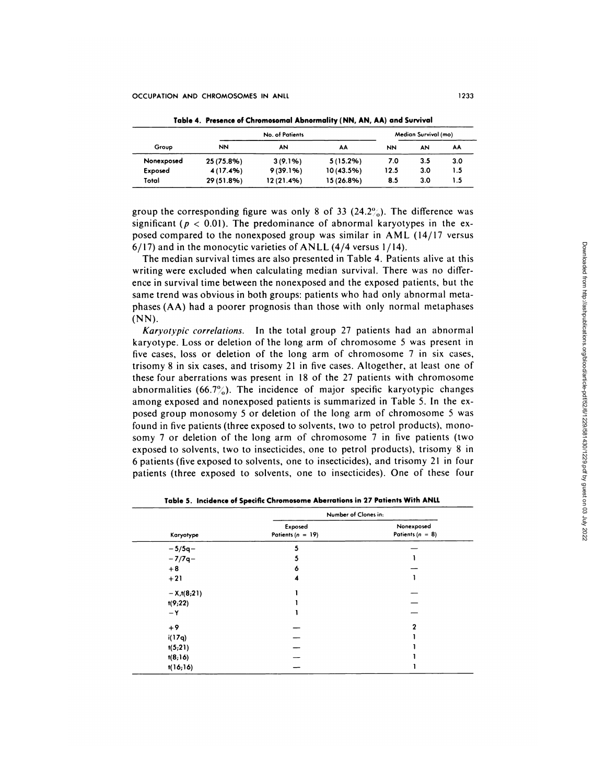|            | <b>No. of Patients</b> |            |             | Median Survival (mo) |     |     |
|------------|------------------------|------------|-------------|----------------------|-----|-----|
| Group      | <b>NN</b>              | AN         | AA          | NN                   | AN  | AA  |
| Nonexposed | 25 (75.8%)             | $3(9.1\%)$ | $5(15.2\%)$ | 7.0                  | 3.5 | 3.0 |
| Exposed    | 4 (17.4%)              | 9(39.1%)   | 10(43.5%)   | 12.5                 | 3.0 | 1.5 |
| Total      | 29 (51.8%)             | 12(21.4%)  | 15 (26.8%)  | 8.5                  | 3.0 | ۱.5 |

**Table** 4. **Presence of Chromosomal Abnormality (NN, AN, AA) and Survival**

group the corresponding figure was only 8 of 33  $(24.2\%)$ . The difference was significant ( $p < 0.01$ ). The predominance of abnormal karyotypes in the exposed compared to the nonexposed group was similar in AML (14/17 versus  $6/17$ ) and in the monocytic varieties of ANLL (4/4 versus 1/14).

|                     | $6/17$ ) and in the monocytic varieties of ANLL (4/4 versus 1/14).                 |                      |                                                                                                          |
|---------------------|------------------------------------------------------------------------------------|----------------------|----------------------------------------------------------------------------------------------------------|
|                     | The median survival times are also presented in Table 4. Patients alive at this    |                      | Down                                                                                                     |
|                     | writing were excluded when calculating median survival. There was no differ-       |                      |                                                                                                          |
|                     | ence in survival time between the nonexposed and the exposed patients, but the     |                      |                                                                                                          |
|                     | same trend was obvious in both groups: patients who had only abnormal meta-        |                      |                                                                                                          |
|                     | phases (AA) had a poorer prognosis than those with only normal metaphases          |                      |                                                                                                          |
| $(NN)$ .            |                                                                                    |                      |                                                                                                          |
|                     | Karyotypic correlations. In the total group 27 patients had an abnormal            |                      |                                                                                                          |
|                     | karyotype. Loss or deletion of the long arm of chromosome 5 was present in         |                      |                                                                                                          |
|                     | five cases, loss or deletion of the long arm of chromosome 7 in six cases,         |                      |                                                                                                          |
|                     | trisomy 8 in six cases, and trisomy 21 in five cases. Altogether, at least one of  |                      |                                                                                                          |
|                     | these four aberrations was present in 18 of the 27 patients with chromosome        |                      |                                                                                                          |
|                     | abnormalities (66.7%). The incidence of major specific karyotypic changes          |                      |                                                                                                          |
|                     | among exposed and nonexposed patients is summarized in Table 5. In the ex-         |                      |                                                                                                          |
|                     | posed group monosomy 5 or deletion of the long arm of chromosome 5 was             |                      |                                                                                                          |
|                     | found in five patients (three exposed to solvents, two to petrol products), mono-  |                      |                                                                                                          |
|                     |                                                                                    |                      |                                                                                                          |
|                     | somy 7 or deletion of the long arm of chromosome 7 in five patients (two           |                      |                                                                                                          |
|                     | exposed to solvents, two to insecticides, one to petrol products), trisomy 8 in    |                      |                                                                                                          |
|                     | 6 patients (five exposed to solvents, one to insecticides), and trisomy 21 in four |                      |                                                                                                          |
|                     | patients (three exposed to solvents, one to insecticides). One of these four       |                      |                                                                                                          |
|                     |                                                                                    |                      |                                                                                                          |
|                     |                                                                                    |                      |                                                                                                          |
|                     | Table 5. Incidence of Specific Chromosome Aberrations in 27 Patients With ANLL     |                      |                                                                                                          |
|                     | Number of Clones in:                                                               |                      |                                                                                                          |
|                     | Exposed                                                                            | Nonexposed           |                                                                                                          |
| Karyotype           | Patients $(n = 19)$                                                                | Patients ( $n = 8$ ) | loaded from http://ashpublications.org/blood/article-pdf/s2/6/12/9/43/012/9.pdf by guest on 03 July 2022 |
| $-5/5q-$            | 5                                                                                  |                      |                                                                                                          |
| $-7/7q-$            | 5                                                                                  | $\mathbf{1}$         |                                                                                                          |
| $+8$                | 6                                                                                  |                      |                                                                                                          |
| $+21$               |                                                                                    | $\mathbf{1}$         |                                                                                                          |
| $-X, t(8,21)$       | 1                                                                                  |                      |                                                                                                          |
| t(9,22)             |                                                                                    |                      |                                                                                                          |
| — Υ                 | 1                                                                                  |                      |                                                                                                          |
| +9                  |                                                                                    | $\mathbf 2$          |                                                                                                          |
| i(17q)              |                                                                                    | 1                    |                                                                                                          |
| t(5,21)             |                                                                                    | 1                    |                                                                                                          |
| t(8,16)<br>t(16;16) |                                                                                    | 1<br>1               |                                                                                                          |

**Table 5. Incidence of Specific Chromosom e Ab errations in 27 Pati ents With ANLL**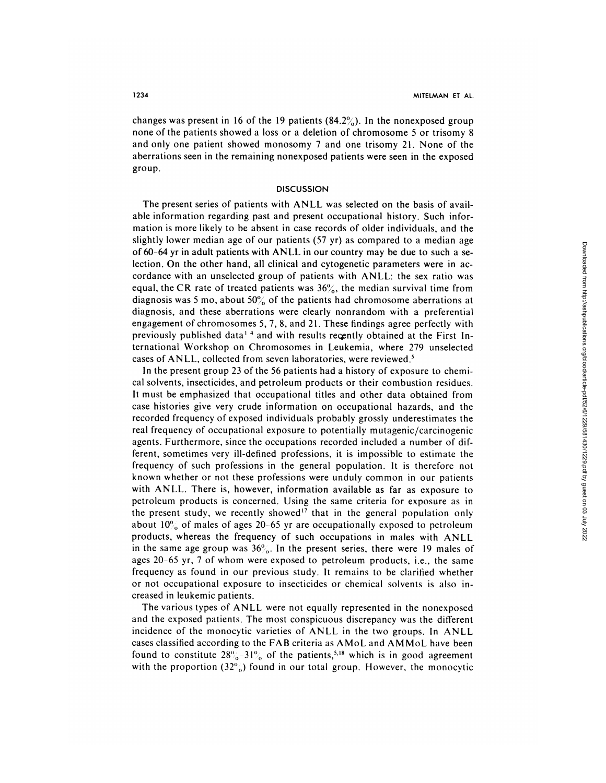changes was present in 16 of the 19 patients  $(84.2\%)$ . In the nonexposed group none of the patients showed a loss or a deletion of chromosome *5* or trisomy 8 and only one patient showed monosomy 7 and one trisomy 21. None of the aberrations seen in the remaining nonexposed patients were seen in the exposed group.

# **DISCUSSION**

The present series of patients with ANLL was selected on the basis of available information regarding past and present occupational history. Such information is more likely to be absent in case records of older individuals, and the slightly lower median age of our patients *(57* yr) as compared to a median age of6O-64 yr in adult patients with ANLL in our country may be due to such a selection. On the other hand, all clinical and cytogenetic parameters were in ac cordance with an unselected group of patients with ANLL: the sex ratio was equal, the CR rate of treated patients was  $36\%$ , the median survival time from diagnosis was 5 mo, about 50<sup>o</sup><sub>0</sub> of the patients had chromosome aberrations at diagnosis, and these aberrations were clearly nonrandom with a preferential **engagement** ofchromosomes 5, 7, 8, and 21. These findings agree perfectly with previously published data<sup> $14$ </sup> and with results recently obtained at the First International Workshop on Chromosomes in Leukemia, where 279 unselected cases of ANLL, collected from seven laboratories, were reviewed.<sup>5</sup>

In the present group 23 of the 56 patients had a history of exposure to chemical solvents, insecticides, and petroleum products or their combustion residues. It must be emphasized that occupational titles and other data obtained from case histories give very crude information on occupational hazards, and the recorded frequency of exposed individuals probably grossly underestimates the real frequency of occupational exposure to potentially mutagenic/carcinogenic agents. Furthermore, since the occupations recorded included a number of different, sometimes very ill-defined professions, it is impossible to estimate the frequency of such professions in the general population. It is therefore not known whether or not these professions were unduly common in our patients **with** ANLL. There is, however, information available as far as exposure to petroleum products is concerned. Using the same criteria for exposure as in the present study, we recently showed<sup>17</sup> that in the general population only about 10% of males of ages 20–65 yr are occupationally exposed to petroleum products, whereas the frequency of such occupations in males with ANLL in the same age group was  $36\%$ . In the present series, there were 19 males of ages 20-65 yr, 7 of whom were exposed to petroleum products, i.e., the same frequency as found in our previous study. It remains to be clarified whether or not occupational exposure to insecticides or chemical solvents is also increased in leukemic patients.

The various types of ANLL were not equally represented in the nonexposed and the exposed patients. The most conspicuous discrepancy was the different incidence of the monocytic varieties of ANLL in the two groups. In ANLL cases classified according to the FAB criteria as AMoL and AMMoL have been found to constitute  $28\% - 31\%$  of the patients,<sup>5,18</sup> which is in good agreement with the proportion  $(32\%)$  found in our total group. However, the monocytic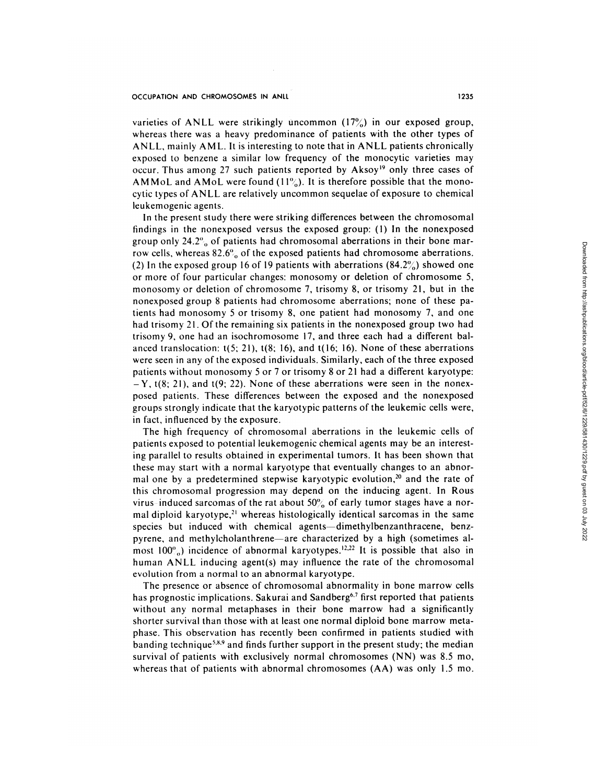varieties of ANLL were strikingly uncommon (17%) in our exposed group, whereas there was a heavy predominance of patients with the other types of ANLL, mainly AML. It is interesting to note that in ANLL patients chronically exposed to benzene a similar low frequency of the monocytic varieties may occur. Thus among 27 such patients reported by Aksoy<sup>19</sup> only three cases of AMMoL and AMoL were found  $(11\%)$ . It is therefore possible that the monocytic types of ANLL are relatively uncommon sequelae of exposure to chemical **leukemogenic** agents.

In the present study there were striking differences between the chromosomal **findings** in the nonexposed versus the exposed group: (1) In the nonexposed group only  $24.2\%$  of patients had chromosomal aberrations in their bone marrow cells, whereas  $82.6\%$  of the exposed patients had chromosome aberrations. (2) In the exposed group 16 of 19 patients with aberrations  $(84.2\%)$  showed one or more of four particular changes: monosomy or deletion of chromosome *5,* monosomy or deletion of chromosome *7,* trisomy 8, or trisomy 21, but in the **nonexposed group** 8 patients had chromosome aberrations; none of these patients had monosomy *5* or trisomy 8, one patient had monosomy 7, and one had trisomy 21. Of the remaining six patients in the nonexposed group two had **trisomy** 9, one had an isochromosome 17, and three each had a different balanced translocation: *t(5;* 21), t(8; 16), and t(l6; 16). None of these aberrations were seen in any of the exposed individuals. Similarly, each of the three exposed patients without monosomy *5* or 7 or trisomy 8 or 21 had a different karyotype:  $-Y$ , t(8; 21), and t(9; 22). None of these aberrations were seen in the nonexposed patients. These differences between the exposed and the nonexposed groups strongly indicate that the karyotypic patterns of the leukemic cells were, in fact, influenced by the exposure.

The high frequency of chromosomal aberrations in the leukemic cells of **patients** exposed to potential leukemogenic chemical agents may be an interesting parallel to results obtained in experimental tumors. It has been shown that these may start with a normal karyotype that eventually changes to an abnormal one by a predetermined stepwise karyotypic evolution,<sup>20</sup> and the rate of this chromosomal progression may depend on the inducing agent. In Rous virus-induced sarcomas of the rat about 50% of early tumor stages have a normal diploid karyotype,<sup>21</sup> whereas histologically identical sarcomas in the same species but induced with chemical agents-dimethylbenzanthracene, benzpyrene, and methylcholanthrene-are characterized by a high (sometimes almost 100 $\degree$ ) incidence of abnormal karyotypes.<sup>12,22</sup> It is possible that also in human ANLL inducing agent(s) may influence the rate of the chromosomal **evolution** from a normal to an abnormal karyotype.

The presence or absence of chromosomal abnormality in bone marrow cells has prognostic implications. Sakurai and Sandberg<sup>6,7</sup> first reported that patients without any normal metaphases in their bone marrow had a significantly shorter survival than those with at least one normal diploid bone marrow meta**phase.** This observation has recently been confirmed in patients studied with banding technique<sup>5,8,9</sup> and finds further support in the present study; the median **survival** of patients with exclusively normal chromosomes (NN) was *8.5* mo, whereas that of patients with abnormal chromosomes (AA) was only I *.5* mo.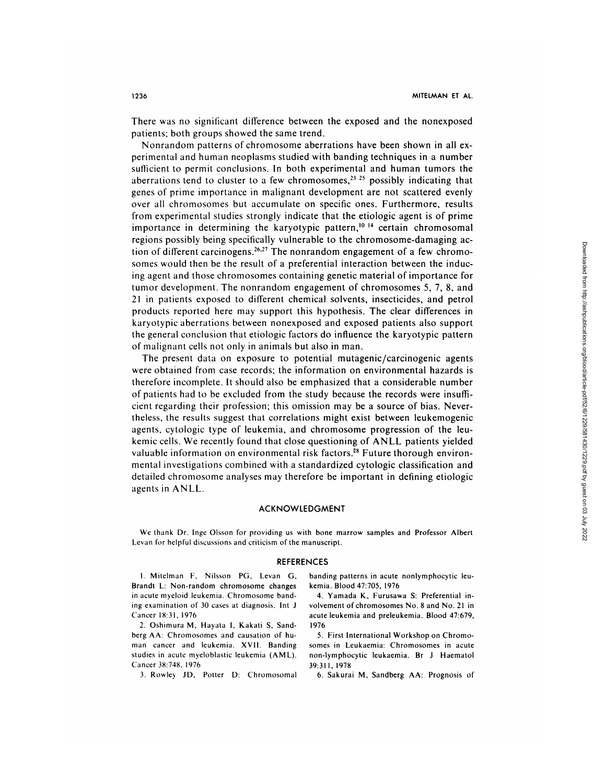There was no significant difference between the exposed and the nonexposed patients; both groups showed the same trend.

Nonrandom patterns of chromosome aberrations have been shown in all experimental and human neoplasms studied with banding techniques in a number sufficient to permit conclusions. In both experimental and human tumors the aberrations tend to cluster to a few chromosomes,  $23-25$  possibly indicating that genes of prime importance in malignant development are not scattered evenly **over** all chromosomes but accumulate on specific ones. Furthermore, results from experimental studies strongly indicate that the etiologic agent is of prime importance in determining the karyotypic pattern,<sup>10-14</sup> certain chromosomal regions possibly being specifically vulnerable to the chromosome-damaging action of different carcinogens.<sup>26,27</sup> The nonrandom engagement of a few chromosomes would then be the result of a preferential interaction between the inducing agent and those chromosomes containing genetic material of importance for tumor development. The nonrandom engagement of chromosomes *5, 7,* 8, and 21 in patients exposed to different chemical solvents, insecticides, and petrol **products reported** here may support this hypothesis. The clear differences in karyotypic aberrations between nonexposed and exposed patients also support the general conclusion that etiologic factors do influence the karyotypic pattern of malignant cells not only in animals but also in man.

The present data on exposure to potential mutagenic/carcinogenic agents were obtained from case records; the information on environmental hazards is therefore incomplete. It should also be emphasized that a considerable number of patients had to be excluded from thestudy because the records were insufficient **regarding** their profession; this omission may be a source of bias. Never**theless,** the results suggest that correlations might exist between leukemogenic agents, cytologic type of leukemia, and chromosome progression of the leukemic cells. We recently found that close questioning of ANLL patients yielded valuable information on environmental risk factors.<sup>28</sup> Future thorough environmental investigations combined with a standardized cytologic classification and detailed chromosome analyses may therefore be important in defining etiologic agents in ANLL. 3. So the control of the chromosomal solution in the chromosomes would then be the chromosomes S, 7, 8, and<br>none would then be the central from the angenerated from the simulator the induces of<br>monte-declinear the from htt

### ACKNOWLEDGMENT

We thank Dr. Inge Olsson for providing us with bone marrow samples and Professor Albert Levan for helpful discussions and criticism of the manuscript.

#### **REFERENCES**

**Brandt** L: Non-random chromosome changes kemia. Blood 47:705, 1976 in acute myeloid leukemia. Chromosome band- 4. Yamada K, Furusawa 5: Preferential ining examination of 30 cases at diagnosis. Int J volvement of chromosomes No. 8 and No. 21 in

2. Oshimura M, Hayata I, Kakati 5, Sand- 1976 berg AA: Chromosomes and causation of hu- 5. First International Workshop on Chromo man cancer and leukemia. XVII. Banding somes in Leukaemia: Chromosomes in acute studies in acute myeloblastic leukemia (AML). non-lymphocytic leukaemia. Br J Haematol Cancer 38:748, 1976 39:311, 1978

I. Mitelman F, Nilsson PG. Levan G, banding patterns in acute nonlymphocytic leu-

Cancer 18:31, 1976 **acute leukemia and preleukemia. Blood 47:679,** acute leukemia and preleukemia. Blood 47:679,